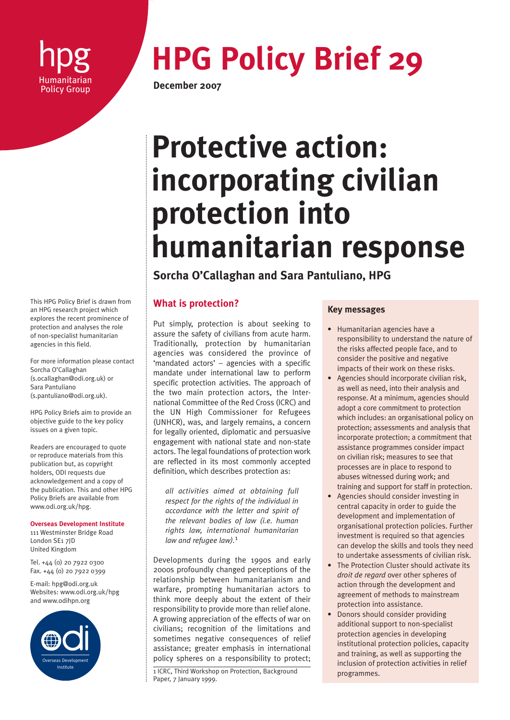

# **hpg HPG Policy Brief 29**

**December 2007** 

# **Protective action: incorporating civilian protection into humanitarian response**

**Sorcha O'Callaghan and Sara Pantuliano, HPG**

# **What is protection?**

Put simply, protection is about seeking to assure the safety of civilians from acute harm. Traditionally, protection by humanitarian agencies was considered the province of 'mandated actors' – agencies with a specific mandate under international law to perform specific protection activities. The approach of the two main protection actors, the International Committee of the Red Cross (ICRC) and the UN High Commissioner for Refugees (UNHCR), was, and largely remains, a concern for legally oriented, diplomatic and persuasive engagement with national state and non-state actors. The legal foundations of protection work are reflected in its most commonly accepted definition, which describes protection as:

*all activities aimed at obtaining full respect for the rights of the individual in accordance with the letter and spirit of the relevant bodies of law (i.e. human rights law, international humanitarian law and refugee law).*<sup>1</sup>

Developments during the 1990s and early 2000s profoundly changed perceptions of the relationship between humanitarianism and warfare, prompting humanitarian actors to think more deeply about the extent of their responsibility to provide more than relief alone. A growing appreciation of the effects of war on civilians; recognition of the limitations and sometimes negative consequences of relief assistance; greater emphasis in international policy spheres on a responsibility to protect;

1 ICRC, Third Workshop on Protection, Background Paper, 7 January 1999.

# **Key messages**

- Humanitarian agencies have a responsibility to understand the nature of the risks affected people face, and to consider the positive and negative impacts of their work on these risks.
- Agencies should incorporate civilian risk, as well as need, into their analysis and response. At a minimum, agencies should adopt a core commitment to protection which includes: an organisational policy on protection; assessments and analysis that incorporate protection; a commitment that assistance programmes consider impact on civilian risk; measures to see that processes are in place to respond to abuses witnessed during work; and training and support for staff in protection.
- Agencies should consider investing in central capacity in order to guide the development and implementation of organisational protection policies. Further investment is required so that agencies can develop the skills and tools they need to undertake assessments of civilian risk.
- The Protection Cluster should activate its *droit de regard* over other spheres of action through the development and agreement of methods to mainstream protection into assistance.
- Donors should consider providing additional support to non-specialist protection agencies in developing institutional protection policies, capacity and training, as well as supporting the inclusion of protection activities in relief programmes.

This HPG Policy Brief is drawn from an HPG research project which explores the recent prominence of protection and analyses the role of non-specialist humanitarian agencies in this field.

For more information please contact Sorcha O'Callaghan (s.ocallaghan@odi.org.uk) or Sara Pantuliano (s.pantuliano@odi.org.uk).

HPG Policy Briefs aim to provide an objective guide to the key policy issues on a given topic.

Readers are encouraged to quote or reproduce materials from this publication but, as copyright holders, ODI requests due acknowledgement and a copy of the publication. This and other HPG Policy Briefs are available from www.odi.org.uk/hpg.

**Overseas Development Institute**

111 Westminster Bridge Road London SE1 7JD United Kingdom

Tel. +44 (0) 20 7922 0300 Fax. +44 (0) 20 7922 0399

E-mail: hpg@odi.org.uk Websites: www.odi.org.uk/hpg and www.odihpn.org

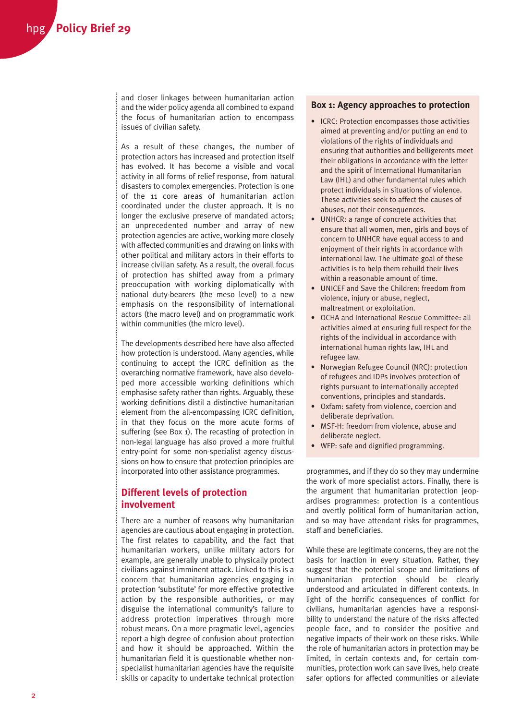and closer linkages between humanitarian action and the wider policy agenda all combined to expand the focus of humanitarian action to encompass issues of civilian safety.

As a result of these changes, the number of protection actors has increased and protection itself has evolved. It has become a visible and vocal activity in all forms of relief response, from natural disasters to complex emergencies. Protection is one of the 11 core areas of humanitarian action coordinated under the cluster approach. It is no longer the exclusive preserve of mandated actors; an unprecedented number and array of new protection agencies are active, working more closely with affected communities and drawing on links with other political and military actors in their efforts to increase civilian safety. As a result, the overall focus of protection has shifted away from a primary preoccupation with working diplomatically with national duty-bearers (the meso level) to a new emphasis on the responsibility of international actors (the macro level) and on programmatic work within communities (the micro level).

The developments described here have also affected how protection is understood. Many agencies, while continuing to accept the ICRC definition as the overarching normative framework, have also developed more accessible working definitions which emphasise safety rather than rights. Arguably, these working definitions distil a distinctive humanitarian element from the all-encompassing ICRC definition, in that they focus on the more acute forms of suffering (see Box 1). The recasting of protection in non-legal language has also proved a more fruitful entry-point for some non-specialist agency discussions on how to ensure that protection principles are incorporated into other assistance programmes.

# **Different levels of protection involvement**

There are a number of reasons why humanitarian agencies are cautious about engaging in protection. The first relates to capability, and the fact that humanitarian workers, unlike military actors for example, are generally unable to physically protect civilians against imminent attack. Linked to this is a concern that humanitarian agencies engaging in protection 'substitute' for more effective protective action by the responsible authorities, or may disguise the international community's failure to address protection imperatives through more robust means. On a more pragmatic level, agencies report a high degree of confusion about protection and how it should be approached. Within the humanitarian field it is questionable whether nonspecialist humanitarian agencies have the requisite skills or capacity to undertake technical protection

#### **Box 1: Agency approaches to protection**

- ICRC: Protection encompasses those activities aimed at preventing and/or putting an end to violations of the rights of individuals and ensuring that authorities and belligerents meet their obligations in accordance with the letter and the spirit of International Humanitarian Law (IHL) and other fundamental rules which protect individuals in situations of violence. These activities seek to affect the causes of abuses, not their consequences.
- UNHCR: a range of concrete activities that ensure that all women, men, girls and boys of concern to UNHCR have equal access to and enjoyment of their rights in accordance with international law. The ultimate goal of these activities is to help them rebuild their lives within a reasonable amount of time.
- UNICEF and Save the Children: freedom from violence, injury or abuse, neglect, maltreatment or exploitation.
- OCHA and International Rescue Committee: all activities aimed at ensuring full respect for the rights of the individual in accordance with international human rights law, IHL and refugee law.
- Norwegian Refugee Council (NRC): protection of refugees and IDPs involves protection of rights pursuant to internationally accepted conventions, principles and standards.
- Oxfam: safety from violence, coercion and deliberate deprivation.
- MSF-H: freedom from violence, abuse and deliberate neglect.
- WFP: safe and dignified programming.

programmes, and if they do so they may undermine the work of more specialist actors. Finally, there is the argument that humanitarian protection jeopardises programmes: protection is a contentious and overtly political form of humanitarian action, and so may have attendant risks for programmes, staff and beneficiaries.

While these are legitimate concerns, they are not the basis for inaction in every situation. Rather, they suggest that the potential scope and limitations of humanitarian protection should be clearly understood and articulated in different contexts. In light of the horrific consequences of conflict for civilians, humanitarian agencies have a responsibility to understand the nature of the risks affected people face, and to consider the positive and negative impacts of their work on these risks. While the role of humanitarian actors in protection may be limited, in certain contexts and, for certain communities, protection work can save lives, help create safer options for affected communities or alleviate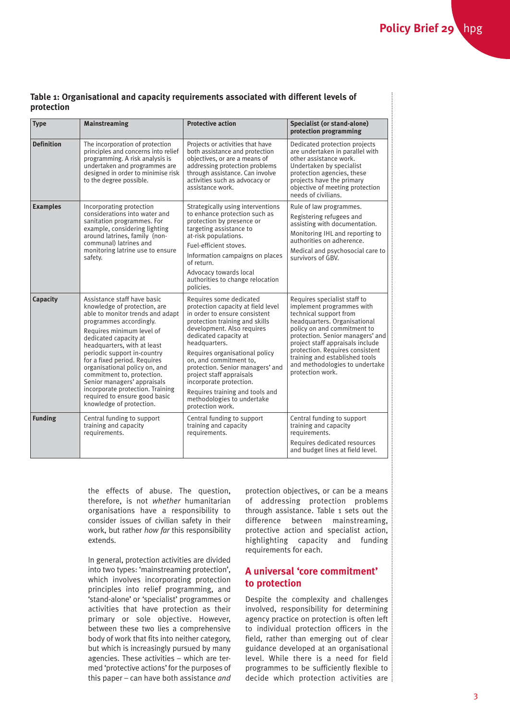| Table 1: Organisational and capacity requirements associated with different levels of |  |  |
|---------------------------------------------------------------------------------------|--|--|
| protection                                                                            |  |  |

| <b>Type</b>       | <b>Mainstreaming</b>                                                                                                                                                                                                                                                                                                                                                                                                                                                          | <b>Protective action</b>                                                                                                                                                                                                                                                                                                                                                                                                                             | Specialist (or stand-alone)<br>protection programming                                                                                                                                                                                                                                                                                                 |
|-------------------|-------------------------------------------------------------------------------------------------------------------------------------------------------------------------------------------------------------------------------------------------------------------------------------------------------------------------------------------------------------------------------------------------------------------------------------------------------------------------------|------------------------------------------------------------------------------------------------------------------------------------------------------------------------------------------------------------------------------------------------------------------------------------------------------------------------------------------------------------------------------------------------------------------------------------------------------|-------------------------------------------------------------------------------------------------------------------------------------------------------------------------------------------------------------------------------------------------------------------------------------------------------------------------------------------------------|
| <b>Definition</b> | The incorporation of protection<br>principles and concerns into relief<br>programming. A risk analysis is<br>undertaken and programmes are<br>designed in order to minimise risk<br>to the degree possible.                                                                                                                                                                                                                                                                   | Projects or activities that have<br>both assistance and protection<br>objectives, or are a means of<br>addressing protection problems<br>through assistance. Can involve<br>activities such as advocacy or<br>assistance work.                                                                                                                                                                                                                       | Dedicated protection projects<br>are undertaken in parallel with<br>other assistance work.<br>Undertaken by specialist<br>protection agencies, these<br>projects have the primary<br>objective of meeting protection<br>needs of civilians.                                                                                                           |
| <b>Examples</b>   | Incorporating protection<br>considerations into water and<br>sanitation programmes. For<br>example, considering lighting<br>around latrines, family (non-<br>communal) latrines and<br>monitoring latrine use to ensure<br>safety.                                                                                                                                                                                                                                            | Strategically using interventions<br>to enhance protection such as<br>protection by presence or<br>targeting assistance to<br>at-risk populations.<br>Fuel-efficient stoves.<br>Information campaigns on places<br>of return.<br>Advocacy towards local<br>authorities to change relocation<br>policies.                                                                                                                                             | Rule of law programmes.<br>Registering refugees and<br>assisting with documentation.<br>Monitoring IHL and reporting to<br>authorities on adherence.<br>Medical and psychosocial care to<br>survivors of GBV.                                                                                                                                         |
| Capacity          | Assistance staff have basic<br>knowledge of protection, are<br>able to monitor trends and adapt<br>programmes accordingly.<br>Requires minimum level of<br>dedicated capacity at<br>headquarters, with at least<br>periodic support in-country<br>for a fixed period. Requires<br>organisational policy on, and<br>commitment to, protection.<br>Senior managers' appraisals<br>incorporate protection. Training<br>required to ensure good basic<br>knowledge of protection. | Requires some dedicated<br>protection capacity at field level<br>in order to ensure consistent<br>protection training and skills<br>development. Also requires<br>dedicated capacity at<br>headquarters.<br>Requires organisational policy<br>on, and commitment to,<br>protection. Senior managers' and<br>project staff appraisals<br>incorporate protection.<br>Requires training and tools and<br>methodologies to undertake<br>protection work. | Requires specialist staff to<br>implement programmes with<br>technical support from<br>headquarters. Organisational<br>policy on and commitment to<br>protection. Senior managers' and<br>project staff appraisals include<br>protection. Requires consistent<br>training and established tools<br>and methodologies to undertake<br>protection work. |
| <b>Funding</b>    | Central funding to support<br>training and capacity<br>requirements.                                                                                                                                                                                                                                                                                                                                                                                                          | Central funding to support<br>training and capacity<br>requirements.                                                                                                                                                                                                                                                                                                                                                                                 | Central funding to support<br>training and capacity<br>requirements.<br>Requires dedicated resources<br>and budget lines at field level.                                                                                                                                                                                                              |

the effects of abuse. The question, therefore, is not *whether* humanitarian organisations have a responsibility to consider issues of civilian safety in their work, but rather *how far* this responsibility extends.

In general, protection activities are divided into two types: 'mainstreaming protection', which involves incorporating protection principles into relief programming, and 'stand-alone' or 'specialist' programmes or activities that have protection as their primary or sole objective. However, between these two lies a comprehensive body of work that fits into neither category, but which is increasingly pursued by many agencies. These activities – which are termed 'protective actions' for the purposes of this paper – can have both assistance *and* protection objectives, or can be a means of addressing protection problems through assistance. Table 1 sets out the difference between mainstreaming, protective action and specialist action, highlighting capacity and funding requirements for each.

# **A universal 'core commitment' to protection**

Despite the complexity and challenges involved, responsibility for determining agency practice on protection is often left to individual protection officers in the field, rather than emerging out of clear guidance developed at an organisational level. While there is a need for field programmes to be sufficiently flexible to decide which protection activities are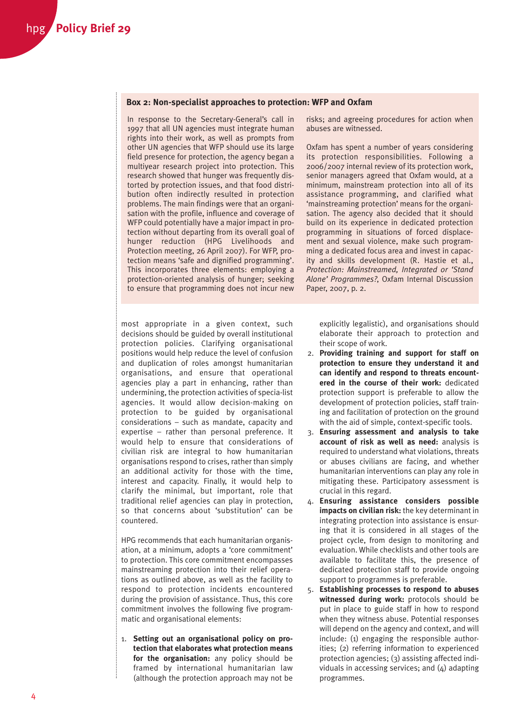#### **Box 2: Non-specialist approaches to protection: WFP and Oxfam**

In response to the Secretary-General's call in 1997 that all UN agencies must integrate human rights into their work, as well as prompts from other UN agencies that WFP should use its large field presence for protection, the agency began a multiyear research project into protection. This research showed that hunger was frequently distorted by protection issues, and that food distribution often indirectly resulted in protection problems. The main findings were that an organisation with the profile, influence and coverage of WFP could potentially have a major impact in protection without departing from its overall goal of hunger reduction (HPG Livelihoods and Protection meeting, 26 April 2007). For WFP, protection means 'safe and dignified programming'. This incorporates three elements: employing a protection-oriented analysis of hunger; seeking to ensure that programming does not incur new risks; and agreeing procedures for action when abuses are witnessed.

Oxfam has spent a number of years considering its protection responsibilities. Following a 2006/2007 internal review of its protection work, senior managers agreed that Oxfam would, at a minimum, mainstream protection into all of its assistance programming, and clarified what 'mainstreaming protection' means for the organisation. The agency also decided that it should build on its experience in dedicated protection programming in situations of forced displacement and sexual violence, make such programming a dedicated focus area and invest in capacity and skills development (R. Hastie et al., *Protection: Mainstreamed, Integrated or 'Stand Alone' Programmes?*, Oxfam Internal Discussion Paper, 2007, p. 2.

most appropriate in a given context, such decisions should be guided by overall institutional protection policies. Clarifying organisational positions would help reduce the level of confusion and duplication of roles amongst humanitarian organisations, and ensure that operational agencies play a part in enhancing, rather than undermining, the protection activities of specia-list agencies. It would allow decision-making on protection to be guided by organisational considerations – such as mandate, capacity and expertise – rather than personal preference. It would help to ensure that considerations of civilian risk are integral to how humanitarian organisations respond to crises, rather than simply an additional activity for those with the time, interest and capacity. Finally, it would help to clarify the minimal, but important, role that traditional relief agencies can play in protection, so that concerns about 'substitution' can be countered.

HPG recommends that each humanitarian organisation, at a minimum, adopts a 'core commitment' to protection. This core commitment encompasses mainstreaming protection into their relief operations as outlined above, as well as the facility to respond to protection incidents encountered during the provision of assistance. Thus, this core commitment involves the following five programmatic and organisational elements:

1. **Setting out an organisational policy on protection that elaborates what protection means for the organisation:** any policy should be framed by international humanitarian law (although the protection approach may not be explicitly legalistic), and organisations should elaborate their approach to protection and their scope of work.

- 2. **Providing training and support for staff on protection to ensure they understand it and can identify and respond to threats encountered in the course of their work:** dedicated protection support is preferable to allow the development of protection policies, staff training and facilitation of protection on the ground with the aid of simple, context-specific tools.
- 3. **Ensuring assessment and analysis to take account of risk as well as need:** analysis is required to understand what violations, threats or abuses civilians are facing, and whether humanitarian interventions can play any role in mitigating these. Participatory assessment is crucial in this regard.
- 4. **Ensuring assistance considers possible impacts on civilian risk:** the key determinant in integrating protection into assistance is ensuring that it is considered in all stages of the project cycle, from design to monitoring and evaluation. While checklists and other tools are available to facilitate this, the presence of dedicated protection staff to provide ongoing support to programmes is preferable.
- 5. **Establishing processes to respond to abuses witnessed during work:** protocols should be put in place to guide staff in how to respond when they witness abuse. Potential responses will depend on the agency and context, and will include: (1) engaging the responsible authorities; (2) referring information to experienced protection agencies; (3) assisting affected individuals in accessing services; and (4) adapting programmes.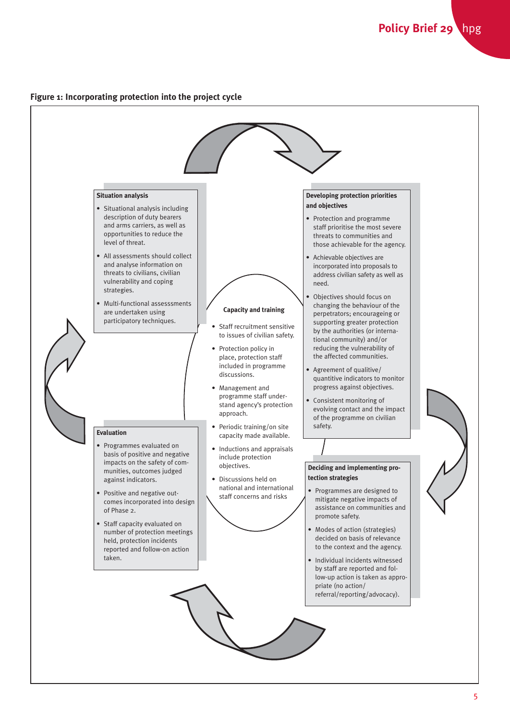### **Figure 1: Incorporating protection into the project cycle**

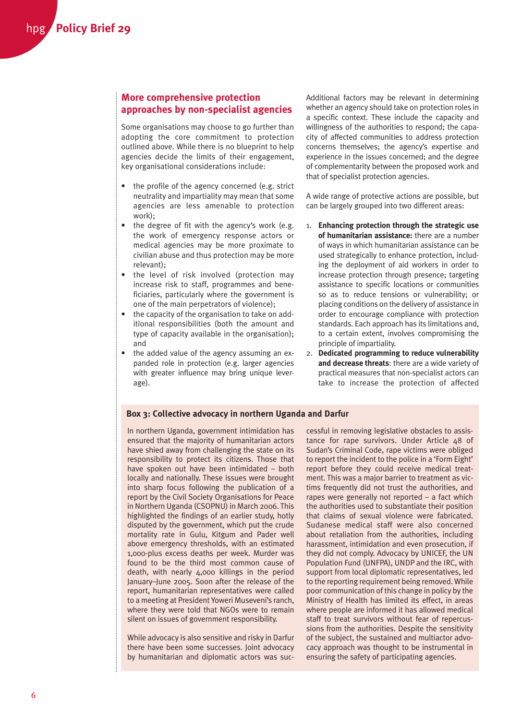## **More comprehensive protection approaches by non-specialist agencies**

Some organisations may choose to go further than adopting the core commitment to protection outlined above. While there is no blueprint to help agencies decide the limits of their engagement, key organisational considerations include:

- the profile of the agency concerned (e.g. strict neutrality and impartiality may mean that some agencies are less amenable to protection work);
- the degree of fit with the agency's work (e.g. the work of emergency response actors or medical agencies may be more proximate to civilian abuse and thus protection may be more relevant);
- the level of risk involved (protection may increase risk to staff, programmes and beneficiaries, particularly where the government is one of the main perpetrators of violence);
- the capacity of the organisation to take on additional responsibilities (both the amount and type of capacity available in the organisation); and
- the added value of the agency assuming an expanded role in protection (e.g. larger agencies with greater influence may bring unique leverage).

Additional factors may be relevant in determining whether an agency should take on protection roles in a specific context. These include the capacity and willingness of the authorities to respond; the capacity of affected communities to address protection concerns themselves; the agency's expertise and experience in the issues concerned; and the degree of complementarity between the proposed work and that of specialist protection agencies.

A wide range of protective actions are possible, but can be largely grouped into two different areas:

- 1. **Enhancing protection through the strategic use of humanitarian assistance:** there are a number of ways in which humanitarian assistance can be used strategically to enhance protection, including the deployment of aid workers in order to increase protection through presence; targeting assistance to specific locations or communities so as to reduce tensions or vulnerability; or placing conditions on the delivery of assistance in order to encourage compliance with protection standards. Each approach has its limitations and, to a certain extent, involves compromising the principle of impartiality.
- 2. **Dedicated programming to reduce vulnerability and decrease threats**: there are a wide variety of practical measures that non-specialist actors can take to increase the protection of affected

#### **Box 3: Collective advocacy in northern Uganda and Darfur**

In northern Uganda, government intimidation has ensured that the majority of humanitarian actors have shied away from challenging the state on its responsibility to protect its citizens. Those that have spoken out have been intimidated – both locally and nationally. These issues were brought into sharp focus following the publication of a report by the Civil Society Organisations for Peace in Northern Uganda (CSOPNU) in March 2006. This highlighted the findings of an earlier study, hotly disputed by the government, which put the crude mortality rate in Gulu, Kitgum and Pader well above emergency thresholds, with an estimated 1,000-plus excess deaths per week. Murder was found to be the third most common cause of death, with nearly 4,000 killings in the period January–June 2005. Soon after the release of the report, humanitarian representatives were called to a meeting at President Yoweri Museveni's ranch, where they were told that NGOs were to remain silent on issues of government responsibility.

While advocacy is also sensitive and risky in Darfur there have been some successes. Joint advocacy by humanitarian and diplomatic actors was successful in removing legislative obstacles to assistance for rape survivors. Under Article 48 of Sudan's Criminal Code, rape victims were obliged to report the incident to the police in a 'Form Eight' report before they could receive medical treatment. This was a major barrier to treatment as victims frequently did not trust the authorities, and rapes were generally not reported – a fact which the authorities used to substantiate their position that claims of sexual violence were fabricated. Sudanese medical staff were also concerned about retaliation from the authorities, including harassment, intimidation and even prosecution, if they did not comply. Advocacy by UNICEF, the UN Population Fund (UNFPA), UNDP and the IRC, with support from local diplomatic representatives, led to the reporting requirement being removed. While poor communication of this change in policy by the Ministry of Health has limited its effect, in areas where people are informed it has allowed medical staff to treat survivors without fear of repercussions from the authorities. Despite the sensitivity of the subject, the sustained and multiactor advocacy approach was thought to be instrumental in ensuring the safety of participating agencies.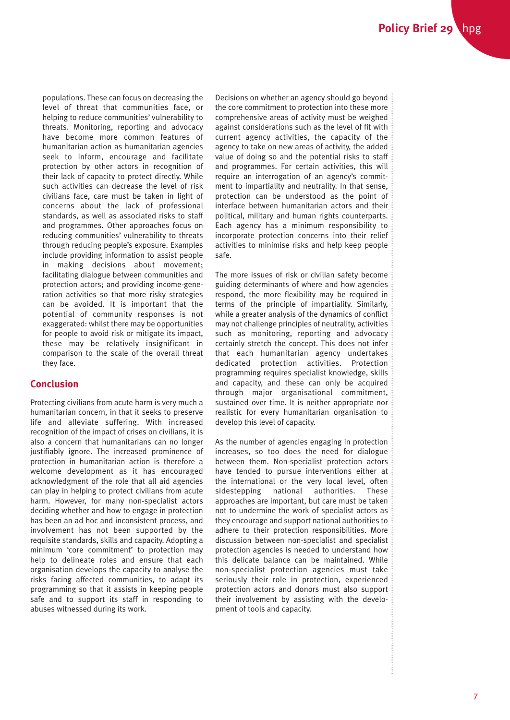populations. These can focus on decreasing the level of threat that communities face, or helping to reduce communities' vulnerability to threats. Monitoring, reporting and advocacy have become more common features of humanitarian action as humanitarian agencies seek to inform, encourage and facilitate protection by other actors in recognition of their lack of capacity to protect directly. While such activities can decrease the level of risk civilians face, care must be taken in light of concerns about the lack of professional standards, as well as associated risks to staff and programmes. Other approaches focus on reducing communities' vulnerability to threats through reducing people's exposure. Examples include providing information to assist people in making decisions about movement; facilitating dialogue between communities and protection actors; and providing income-generation activities so that more risky strategies can be avoided. It is important that the potential of community responses is not exaggerated: whilst there may be opportunities for people to avoid risk or mitigate its impact, these may be relatively insignificant in comparison to the scale of the overall threat they face.

# **Conclusion**

Protecting civilians from acute harm is very much a humanitarian concern, in that it seeks to preserve life and alleviate suffering. With increased recognition of the impact of crises on civilians, it is also a concern that humanitarians can no longer justifiably ignore. The increased prominence of protection in humanitarian action is therefore a welcome development as it has encouraged acknowledgment of the role that all aid agencies can play in helping to protect civilians from acute harm. However, for many non-specialist actors deciding whether and how to engage in protection has been an ad hoc and inconsistent process, and involvement has not been supported by the requisite standards, skills and capacity. Adopting a minimum 'core commitment' to protection may help to delineate roles and ensure that each organisation develops the capacity to analyse the risks facing affected communities, to adapt its programming so that it assists in keeping people safe and to support its staff in responding to abuses witnessed during its work.

Decisions on whether an agency should go beyond the core commitment to protection into these more comprehensive areas of activity must be weighed against considerations such as the level of fit with current agency activities, the capacity of the agency to take on new areas of activity, the added value of doing so and the potential risks to staff and programmes. For certain activities, this will require an interrogation of an agency's commitment to impartiality and neutrality. In that sense, protection can be understood as the point of interface between humanitarian actors and their political, military and human rights counterparts. Each agency has a minimum responsibility to incorporate protection concerns into their relief activities to minimise risks and help keep people safe.

The more issues of risk or civilian safety become guiding determinants of where and how agencies respond, the more flexibility may be required in terms of the principle of impartiality. Similarly, while a greater analysis of the dynamics of conflict may not challenge principles of neutrality, activities such as monitoring, reporting and advocacy certainly stretch the concept. This does not infer that each humanitarian agency undertakes dedicated protection activities. Protection programming requires specialist knowledge, skills and capacity, and these can only be acquired through major organisational commitment, sustained over time. It is neither appropriate nor realistic for every humanitarian organisation to develop this level of capacity.

As the number of agencies engaging in protection increases, so too does the need for dialogue between them. Non-specialist protection actors have tended to pursue interventions either at the international or the very local level, often sidestepping national authorities. These approaches are important, but care must be taken not to undermine the work of specialist actors as they encourage and support national authorities to adhere to their protection responsibilities. More discussion between non-specialist and specialist protection agencies is needed to understand how this delicate balance can be maintained. While non-specialist protection agencies must take seriously their role in protection, experienced protection actors and donors must also support their involvement by assisting with the development of tools and capacity.